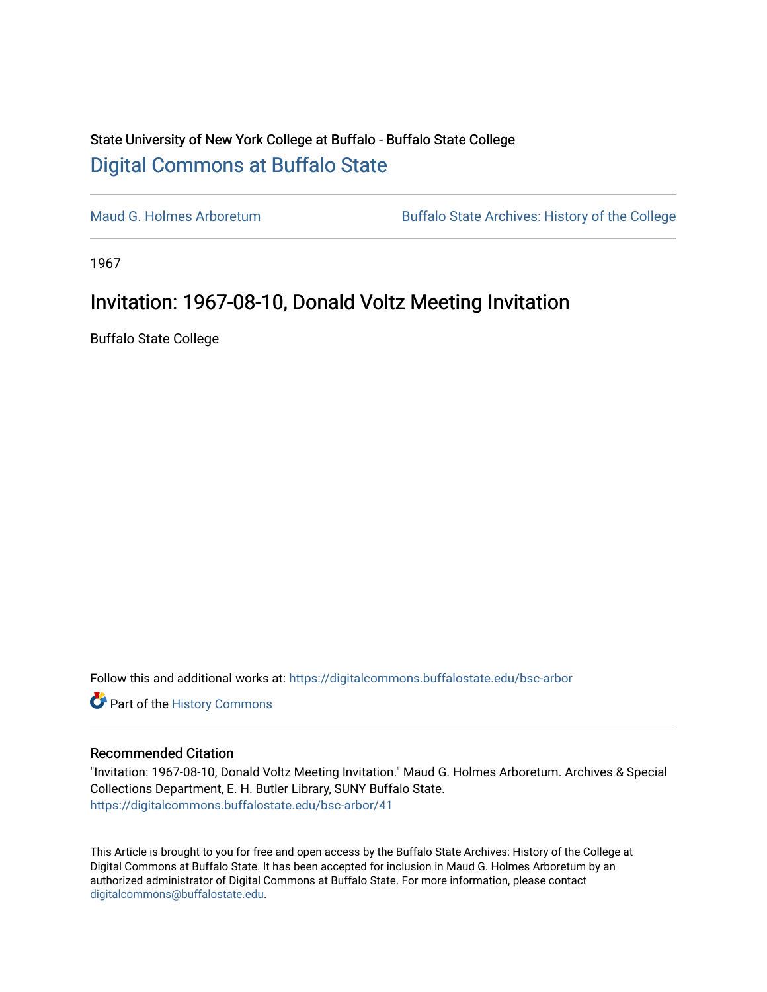## State University of New York College at Buffalo - Buffalo State College [Digital Commons at Buffalo State](https://digitalcommons.buffalostate.edu/)

[Maud G. Holmes Arboretum](https://digitalcommons.buffalostate.edu/bsc-arbor) Buffalo State Archives: History of the College

1967

## Invitation: 1967-08-10, Donald Voltz Meeting Invitation

Buffalo State College

Follow this and additional works at: [https://digitalcommons.buffalostate.edu/bsc-arbor](https://digitalcommons.buffalostate.edu/bsc-arbor?utm_source=digitalcommons.buffalostate.edu%2Fbsc-arbor%2F41&utm_medium=PDF&utm_campaign=PDFCoverPages) 

Part of the [History Commons](http://network.bepress.com/hgg/discipline/489?utm_source=digitalcommons.buffalostate.edu%2Fbsc-arbor%2F41&utm_medium=PDF&utm_campaign=PDFCoverPages) 

## Recommended Citation

"Invitation: 1967-08-10, Donald Voltz Meeting Invitation." Maud G. Holmes Arboretum. Archives & Special Collections Department, E. H. Butler Library, SUNY Buffalo State. [https://digitalcommons.buffalostate.edu/bsc-arbor/41](https://digitalcommons.buffalostate.edu/bsc-arbor/41?utm_source=digitalcommons.buffalostate.edu%2Fbsc-arbor%2F41&utm_medium=PDF&utm_campaign=PDFCoverPages) 

This Article is brought to you for free and open access by the Buffalo State Archives: History of the College at Digital Commons at Buffalo State. It has been accepted for inclusion in Maud G. Holmes Arboretum by an authorized administrator of Digital Commons at Buffalo State. For more information, please contact [digitalcommons@buffalostate.edu.](mailto:digitalcommons@buffalostate.edu)